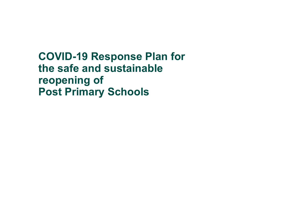**COVID-19 Response Plan for the safe and sustainable reopening of Post Primary Schools**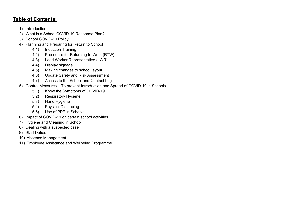## **Table of Contents:**

- 1) Introduction
- 2) What is a School COVID-19 Response Plan?
- 3) School COVID-19 Policy
- 4) Planning and Preparing for Return to School
	- 4.1) Induction Training
	- 4.2) Procedure for Returning to Work (RTW)
	- 4.3) Lead Worker Representative (LWR)
	- 4.4) Display signage
	- 4.5) Making changes to school layout
	- 4.6) Update Safety and Risk Assessment
	- 4.7) Access to the School and Contact Log
- 5) Control Measures To prevent Introduction and Spread of COVID-19 in Schools
	- 5.1) Know the Symptoms of COVID-19
	- 5.2) Respiratory Hygiene
	- 5.3) Hand Hygiene
	- 5.4) Physical Distancing
	- 5.5) Use of PPE in Schools
- 6) Impact of COVID-19 on certain school activities
- 7) Hygiene and Cleaning in School
- 8) Dealing with a suspected case
- 9) Staff Duties
- 10) Absence Management
- 11) Employee Assistance and Wellbeing Programme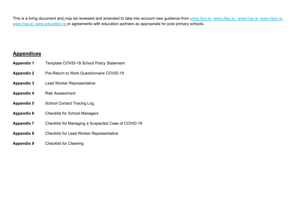This is a living document and may be reviewed and amended to take into account new guidance from [www.Gov.ie,](http://www.gov.ie/) [www.dbei.ie](http://www.dbei.ie/) , [www.hse.ie,](http://www.hse.ie/) [www.hpsc.ie,](http://www.hpsc.ie/) [www.hsa.ie;](http://www.hsa.ie/) [www.education.ie](http://www.education.ie/) or agreements with education partners as appropriate for post primary schools.

## **Appendices**

- **Appendix 1** Template COVID-19 School Policy Statement
- **Appendix 2** Pre-Return to Work Questionnaire COVID-19
- **Appendix 3** Lead Worker Representative
- **Appendix 4** Risk Assessment
- **Appendix 5** School Contact Tracing Log
- **Appendix 6** Checklist for School Managers
- **Appendix 7** Checklist for Managing a Suspected Case of COVID-19
- **Appendix 8** Checklist for Lead Worker Representative
- **Appendix 9** Checklist for Cleaning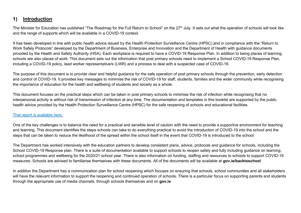# **1) Introduction**

The Minister for Education has published "The Roadmap for the Full Return to School" on the 27<sup>th</sup> July. It sets out what the operation of schools will look like and the range of supports which will be available in a COVID-19 context.

It has been developed in line with public health advice issued by the Health Protection Surveillance Centre (HPSC) and in compliance with the "Return to Work Safely Protocols" developed by the Department of Business, Enterprise and Innovation and the Department of Health with guidance documents provided by the Health and Safety Authority (HSA). Each workplace is required to have a COVID-19 Response Plan. In addition to being places of learning, schools are also places of work. This document sets out the information that post primary schools need to implement a School COVID-19 Response Plan, including a COVID-19 policy, lead worker representative/s (LWR) and a process to deal with a suspected case of COVID-19.

The purpose of this document is to provide clear and helpful guidance for the safe operation of post primary schools through the prevention, early detection and control of COVID-19. It provides key messages to minimise the risk of COVID-19 for staff, students, families and the wider community while recognising the importance of education for the health and wellbeing of students and society as a whole.

This document focuses on the practical steps which can be taken in post primary schools to minimise the risk of infection while recognising that no interpersonal activity is without risk of transmission of infection at any time. The documentation and templates in this booklet are supported by the public health advice provided by the Health Protection Surveillance Centre (HPSC) for the safe reopening of schools and educational facilities.

### [That report is available here.](https://assets.gov.ie/78748/8796d60e-790e-4007-add1-de18e509a3c1.pdf)

One of the key challenges is to balance the need for a practical and sensible level of caution with the need to provide a supportive environment for teaching and learning. This document identifies the steps schools can take to do everything practical to avoid the introduction of COVID-19 into the school and the steps that can be taken to reduce the likelihood of the spread within the school itself in the event that COVID-19 is introduced to the school.

The Department has worked intensively with the education partners to develop consistent plans, advice, protocols and guidance for schools, including the School COVID-19 Response plan. There is a suite of documentation available to support schools to reopen safely and fully including guidance on learning, school programmes and wellbeing for the 2020/21 school year. There is also information on funding, staffing and resources to schools to support COVID-19 measures. Schools are advised to familiarise themselves with these documents. All of the documents will be available at **gov.ie/backtoschool**

In addition the Department has a communication plan for school reopening which focuses on ensuring that schools, school communities and all stakeholders will have the relevant information to support the reopening and continued operation of schools. There is a particular focus on supporting parents and students through the appropriate use of media channels, through schools themselves and on **gov.ie**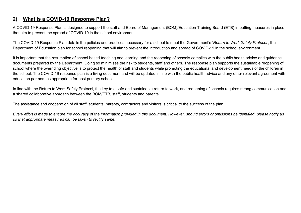## **2) What is a COVID-19 Response Plan?**

A COVID-19 Response Plan is designed to support the staff and Board of Management (BOM)/Education Training Board (ETB) in putting measures in place that aim to prevent the spread of COVID-19 in the school environment

The COVID-19 Response Plan details the policies and practices necessary for a school to meet the Government's '*Return to Work Safely Protocol'*, the Department of Education plan for school reopening that will aim to prevent the introduction and spread of COVID-19 in the school environment.

It is important that the resumption of school based teaching and learning and the reopening of schools complies with the public health advice and guidance documents prepared by the Department. Doing so minimises the risk to students, staff and others. The response plan supports the sustainable reopening of school where the overriding objective is to protect the health of staff and students while promoting the educational and development needs of the children in the school. The COVID-19 response plan is a living document and will be updated in line with the public health advice and any other relevant agreement with education partners as appropriate for post primary schools.

In line with the Return to Work Safely Protocol, the key to a safe and sustainable return to work, and reopening of schools requires strong communication and a shared collaborative approach between the BOM/ETB, staff, students and parents.

The assistance and cooperation of all staff, students, parents, contractors and visitors is critical to the success of the plan.

*Every effort is made to ensure the accuracy of the information provided in this document. However, should errors or omissions be identified, please notify us so that appropriate measures can be taken to rectify same.*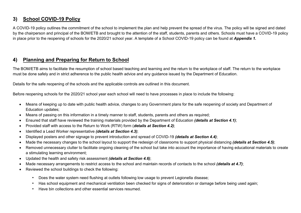# **3) School COVID-19 Policy**

A COVID-19 policy outlines the commitment of the school to implement the plan and help prevent the spread of the virus. The policy will be signed and dated by the chairperson and principal of the BOM/ETB and brought to the attention of the staff, students, parents and others. Schools must have a COVID-19 policy in place prior to the reopening of schools for the 2020/21 school year. A template of a School COVID-19 policy can be found at *Appendix 1.*

## **4) Planning and Preparing for Return to School**

The BOM/ETB aims to facilitate the resumption of school based teaching and learning and the return to the workplace of staff. The return to the workplace must be done safely and in strict adherence to the public health advice and any guidance issued by the Department of Education.

Details for the safe reopening of the schools and the applicable controls are outlined in this document.

Before reopening schools for the 2020/21 school year each school will need to have processes in place to include the following:

- Means of keeping up to date with public health advice, changes to any Government plans for the safe reopening of society and Department of Education updates;
- Means of passing on this information in a timely manner to staff, students, parents and others as required;
- Ensured that staff have reviewed the training materials provided by the Department of Education *(details at Section 4.1)*;
- Provided staff with access to the Return to Work (RTW) form (*details at Section 4.2)*;
- Identified a Lead Worker representative *(details at Section 4.3)*;
- Displayed posters and other signage to prevent introduction and spread of COVID-19 *(details at Section 4.4)*;
- Made the necessary changes to the school layout to support the redesign of classrooms to support physical distancing *(details at Section 4.5)*;
- Removed unnecessary clutter to facilitate ongoing cleaning of the school but take into account the importance of having educational materials to create a stimulating learning environment;
- Updated the health and safety risk assessment *(details at Section 4.6)*;
- Made necessary arrangements to restrict access to the school and maintain records of contacts to the school *(details at 4.7)*;
- Reviewed the school buildings to check the following:
	- Does the water system need flushing at outlets following low usage to prevent Legionella disease;
	- Has school equipment and mechanical ventilation been checked for signs of deterioration or damage before being used again;
	- Have bin collections and other essential services resumed.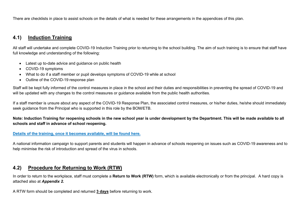There are checklists in place to assist schools on the details of what is needed for these arrangements in the appendices of this plan.

## **4.1) Induction Training**

All staff will undertake and complete COVID-19 Induction Training prior to returning to the school building. The aim of such training is to ensure that staff have full knowledge and understanding of the following:

- Latest up to-date advice and guidance on public health
- COVID-19 symptoms
- What to do if a staff member or pupil develops symptoms of COVID-19 while at school
- Outline of the COVID-19 response plan

Staff will be kept fully informed of the control measures in place in the school and their duties and responsibilities in preventing the spread of COVID-19 and will be updated with any changes to the control measures or guidance available from the public health authorities.

If a staff member is unsure about any aspect of the COVID-19 Response Plan, the associated control measures, or his/her duties, he/she should immediately seek guidance from the Principal who is supported in this role by the BOM/ETB.

### **Note: Induction Training for reopening schools in the new school year is under development by the Department. This will be made available to all schools and staff in advance of school reopening.**

#### **[Details of the training, once it becomes available, will be found here.](https://www.gov.ie/en/publication/dd7fb-induction-training-for-reopening-schools/)**

A national information campaign to support parents and students will happen in advance of schools reopening on issues such as COVID-19 awareness and to help minimise the risk of introduction and spread of the virus in schools.

### **4.2) Procedure for Returning to Work (RTW)**

In order to return to the workplace, staff must complete a **Return to Work (RTW)** form, which is available electronically or from the principal. A hard copy is attached also at *Appendix 2.*

A RTW form should be completed and returned **3 days** before returning to work.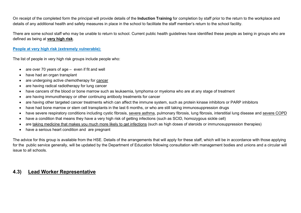On receipt of the completed form the principal will provide details of the **Induction Training** for completion by staff prior to the return to the workplace and details of any additional health and safety measures in place in the school to facilitate the staff member's return to the school facility.

There are some school staff who may be unable to return to school. Current public health guidelines have identified these people as being in groups who are defined as being at **very high risk**.

### **[People at very high risk](https://www2.hse.ie/conditions/coronavirus/people-at-higher-risk.html) (extremely vulnerable):**

The list of people in very high risk groups include people who:

- are over 70 years of age even if fit and well
- have had an organ transplant
- are undergoing active chemotherapy for [cancer](https://www2.hse.ie/conditions/coronavirus/cancer-patients.html)
- are having radical radiotherapy for lung cancer
- have cancers of the blood or bone marrow such as leukaemia, lymphoma or myeloma who are at any stage of treatment
- are having immunotherapy or other continuing antibody treatments for cancer
- are having other targeted cancer treatments which can affect the immune system, such as protein kinase inhibitors or PARP inhibitors
- have had bone marrow or stem cell transplants in the last 6 months, or who are still taking immunosuppression drugs
- have severe respiratory conditions including cystic fibrosis, [severe asthma,](https://www2.hse.ie/conditions/coronavirus/asthma.html) pulmonary fibrosis, lung fibrosis, interstitial lung disease and [severe COPD](https://www2.hse.ie/conditions/coronavirus/copd.html)
- have a condition that means they have a very high risk of getting infections (such as SCID, homozygous sickle cell)
- are [taking medicine that makes you much more likely to get infections](https://www2.hse.ie/conditions/coronavirus/weak-immune-system.html) (such as high doses of steroids or immunosuppression therapies)
- have a serious heart condition and are pregnant

The advice for this group is available from the HSE. Details of the arrangements that will apply for these staff, which will be in accordance with those applying for the public service generally, will be updated by the Department of Education following consultation with management bodies and unions and a circular will issue to all schools.

## **4.3) Lead Worker Representative**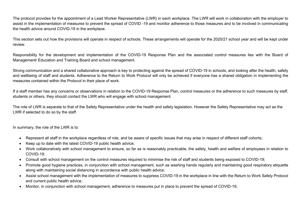The protocol provides for the appointment of a Lead Worker Representative (LWR) in each workplace. The LWR will work in collaboration with the employer to assist in the implementation of measures to prevent the spread of COVID -19 and monitor adherence to those measures and to be involved in communicating the health advice around COVID-19 in the workplace.

This section sets out how the provisions will operate in respect of schools. These arrangements will operate for the 2020/21 school year and will be kept under review.

Responsibility for the development and implementation of the COVID-19 Response Plan and the associated control measures lies with the Board of Management/ Education and Training Board and school management.

Strong communication and a shared collaborative approach is key to protecting against the spread of COVID-19 in schools, and looking after the health, safety and wellbeing of staff and students. Adherence to the Return to Work Protocol will only be achieved if everyone has a shared obligation in implementing the measures contained within the Protocol in their place of work.

If a staff member has any concerns or observations in relation to the COVID-19 Response Plan, control measures or the adherence to such measures by staff, students or others, they should contact the LWR who will engage with school management.

The role of LWR is separate to that of the Safety Representative under the health and safety legislation. However the Safety Representative may act as the LWR if selected to do so by the staff.

In summary, the role of the LWR is to:

- Represent all staff in the workplace regardless of role, and be aware of specific issues that may arise in respect of different staff cohorts;
- Keep up to date with the latest COVID-19 public health advice;
- Work collaboratively with school management to ensure, so far as is reasonably practicable, the safety, health and welfare of employees in relation to COVID-19;
- Consult with school management on the control measures required to minimise the risk of staff and students being exposed to COVID-19;
- Promote good hygiene practices, in conjunction with school management, such as washing hands regularly and maintaining good respiratory etiquette along with maintaining social distancing in accordance with public health advice;
- Assist school management with the implementation of measures to suppress COVID-19 in the workplace in line with the Return to Work Safely Protocol and current public health advice;
- Monitor, in conjunction with school management, adherence to measures put in place to prevent the spread of COVID-19;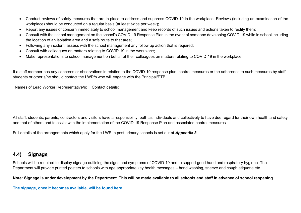- Conduct reviews of safety measures that are in place to address and suppress COVID-19 in the workplace. Reviews (including an examination of the workplace) should be conducted on a regular basis (at least twice per week);
- Report any issues of concern immediately to school management and keep records of such issues and actions taken to rectify them;
- Consult with the school management on the school's COVID-19 Response Plan in the event of someone developing COVID-19 while in school including the location of an isolation area and a safe route to that area;
- Following any incident, assess with the school management any follow up action that is required;
- Consult with colleagues on matters relating to COVID-19 in the workplace;
- Make representations to school management on behalf of their colleagues on matters relating to COVID-19 in the workplace.

If a staff member has any concerns or observations in relation to the COVID-19 response plan, control measures or the adherence to such measures by staff, students or other s/he should contact the LWR/s who will engage with the Principal/ETB.

| Names of Lead Worker Representative/s:   Contact details: |  |  |  |  |
|-----------------------------------------------------------|--|--|--|--|
|                                                           |  |  |  |  |

All staff, students, parents, contractors and visitors have a responsibility, both as individuals and collectively to have due regard for their own health and safety and that of others and to assist with the implementation of the COVID-19 Response Plan and associated control measures.

Full details of the arrangements which apply for the LWR in post primary schools is set out at *Appendix 3***.**

## **4.4) Signage**

Schools will be required to display signage outlining the signs and symptoms of COVID-19 and to support good hand and respiratory hygiene. The Department will provide printed posters to schools with age appropriate key health messages – hand washing, sneeze and cough etiquette etc.

**Note: Signage is under development by the Department. This will be made available to all schools and staff in advance of school reopening.** 

**[The signage, once it becomes available, will be found here.](https://www.gov.ie/en/publication/2da43-signage-for-reopening-of-schools/)**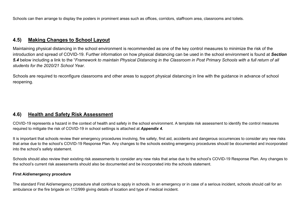Schools can then arrange to display the posters in prominent areas such as offices, corridors, staffroom area, classrooms and toilets.

## **4.5) Making Changes to School Layout**

Maintaining physical distancing in the school environment is recommended as one of the key control measures to minimize the risk of the introduction and spread of COVID-19. Further information on how physical distancing can be used in the school environment is found at *Section 5.4* below including a link to the "*Framework to maintain Physical Distancing in the Classroom in Post Primary Schools with a full return of all students for the 2020/21 School Year.* 

Schools are required to reconfigure classrooms and other areas to support physical distancing in line with the guidance in advance of school reopening.

## **4.6) Health and Safety Risk Assessment**

COVID-19 represents a hazard in the context of health and safety in the school environment. A template risk assessment to identify the control measures required to mitigate the risk of COVID-19 in school settings is attached at *Appendix 4.*

It is important that schools review their emergency procedures involving, fire safety, first aid, accidents and dangerous occurrences to consider any new risks that arise due to the school's COVID-19 Response Plan. Any changes to the schools existing emergency procedures should be documented and incorporated into the school's safety statement.

Schools should also review their existing risk assessments to consider any new risks that arise due to the school's COVID-19 Response Plan. Any changes to the school's current risk assessments should also be documented and be incorporated into the schools statement.

#### **First Aid/emergency procedure**

The standard First Aid/emergency procedure shall continue to apply in schools. In an emergency or in case of a serious incident, schools should call for an ambulance or the fire brigade on 112/999 giving details of location and type of medical incident.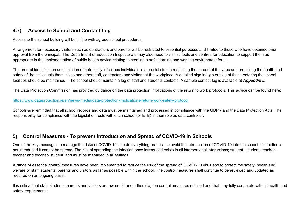# **4.7) Access to School and Contact Log**

Access to the school building will be in line with agreed school procedures.

Arrangement for necessary visitors such as contractors and parents will be restricted to essential purposes and limited to those who have obtained prior approval from the principal. The Department of Education Inspectorate may also need to visit schools and centres for education to support them as appropriate in the implementation of public health advice relating to creating a safe learning and working environment for all.

The prompt identification and isolation of potentially infectious individuals is a crucial step in restricting the spread of the virus and protecting the health and safety of the individuals themselves and other staff, contractors and visitors at the workplace. A detailed sign in/sign out log of those entering the school facilities should be maintained. The school should maintain a log of staff and students contacts. A sample contact log is available at *Appendix 5*.

The Data Protection Commission has provided guidance on the data protection implications of the return to work protocols. This advice can be found here:

#### <https://www.dataprotection.ie/en/news-media/data-protection-implications-return-work-safely-protocol>

Schools are reminded that all school records and data must be maintained and processed in compliance with the GDPR and the Data Protection Acts. The responsibility for compliance with the legislation rests with each school (or ETB) in their role as data controller.

## **5) Control Measures - To prevent Introduction and Spread of COVID-19 in Schools**

One of the key messages to manage the risks of COVID-19 is to do everything practical to avoid the introduction of COVID-19 into the school. If infection is not introduced it cannot be spread. The risk of spreading the infection once introduced exists in all interpersonal interactions; student - student, teacher teacher and teacher- student, and must be managed in all settings.

A range of essential control measures have been implemented to reduce the risk of the spread of COVID -19 virus and to protect the safety, health and welfare of staff, students, parents and visitors as far as possible within the school. The control measures shall continue to be reviewed and updated as required on an ongoing basis.

It is critical that staff, students, parents and visitors are aware of, and adhere to, the control measures outlined and that they fully cooperate with all health and safety requirements.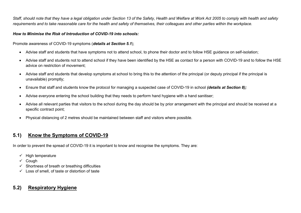*Staff, should note that they have a legal obligation under Section 13 of the Safety, Health and Welfare at Work Act 2005 to comply with health and safety requirements and to take reasonable care for the health and safety of themselves, their colleagues and other parties within the workplace.* 

### *How to Minimise the Risk of Introduction of COVID-19 into schools:*

Promote awareness of COVID-19 symptoms (*details at Section 5.1*);

- Advise staff and students that have symptoms not to attend school, to phone their doctor and to follow HSE guidance on self-isolation;
- Advise staff and students not to attend school if they have been identified by the HSE as contact for a person with COVID-19 and to follow the HSE advice on restriction of movement;
- Advise staff and students that develop symptoms at school to bring this to the attention of the principal (or deputy principal if the principal is unavailable) promptly;
- Ensure that staff and students know the protocol for managing a suspected case of COVID-19 in school *(details at Section 8);*
- Advise everyone entering the school building that they needs to perform hand hygiene with a hand sanitiser;
- Advise all relevant parties that visitors to the school during the day should be by prior arrangement with the principal and should be received at a specific contract point;
- Physical distancing of 2 metres should be maintained between staff and visitors where possible.

# **5.1) Know the Symptoms of COVID-19**

In order to prevent the spread of COVID-19 it is important to know and recognise the symptoms. They are:

- $\checkmark$  High temperature
- $\checkmark$  Cough
- $\checkmark$  Shortness of breath or breathing difficulties
- $\checkmark$  Loss of smell, of taste or distortion of taste

# **5.2) Respiratory Hygiene**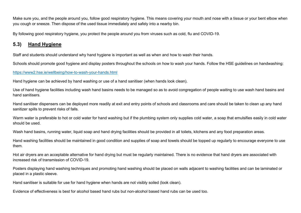Make sure you, and the people around you, follow good respiratory hygiene. This means covering your mouth and nose with a tissue or your bent elbow when you cough or sneeze. Then dispose of the used tissue immediately and safely into a nearby bin.

By following good respiratory hygiene, you protect the people around you from viruses such as cold, flu and COVID-19.

## **5.3) Hand Hygiene**

Staff and students should understand why hand hygiene is important as well as when and how to wash their hands.

Schools should promote good hygiene and display posters throughout the schools on how to wash your hands. Follow the HSE guidelines on handwashing:

#### <https://www2.hse.ie/wellbeing/how-to-wash-your-hands.html>

Hand hygiene can be achieved by hand washing or use of a hand sanitiser (when hands look clean).

Use of hand hygiene facilities including wash hand basins needs to be managed so as to avoid congregation of people waiting to use wash hand basins and hand sanitisers.

Hand sanitiser dispensers can be deployed more readily at exit and entry points of schools and classrooms and care should be taken to clean up any hand sanitizer spills to prevent risks of falls.

Warm water is preferable to hot or cold water for hand washing but if the plumbing system only supplies cold water, a soap that emulsifies easily in cold water should be used.

Wash hand basins, running water, liquid soap and hand drying facilities should be provided in all toilets, kitchens and any food preparation areas.

Hand washing facilities should be maintained in good condition and supplies of soap and towels should be topped up regularly to encourage everyone to use them.

Hot air dryers are an acceptable alternative for hand drying but must be regularly maintained. There is no evidence that hand dryers are associated with increased risk of transmission of COVID-19.

Posters displaying hand washing techniques and promoting hand washing should be placed on walls adjacent to washing facilities and can be laminated or placed in a plastic sleeve.

Hand sanitiser is suitable for use for hand hygiene when hands are not visibly soiled (look clean).

Evidence of effectiveness is best for alcohol based hand rubs but non-alcohol based hand rubs can be used too.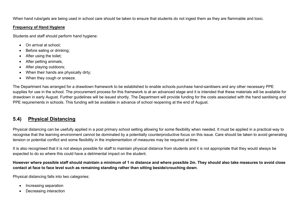When hand rubs/gels are being used in school care should be taken to ensure that students do not ingest them as they are flammable and toxic.

### **Frequency of Hand Hygiene**

Students and staff should perform hand hygiene:

- On arrival at school;
- Before eating or drinking;
- After using the toilet;
- After petting animals;
- After playing outdoors;
- When their hands are physically dirty;
- When they cough or sneeze.

The Department has arranged for a drawdown framework to be established to enable schools purchase hand-sanitisers and any other necessary PPE supplies for use in the school. The procurement process for this framework is at an advanced stage and it is intended that these materials will be available for drawdown in early August. Further guidelines will be issued shortly. The Department will provide funding for the costs associated with the hand sanitising and PPE requirements in schools. This funding will be available in advance of school reopening at the end of August.

# **5.4) Physical Distancing**

Physical distancing can be usefully applied in a post primary school setting allowing for some flexibility when needed. It must be applied in a practical way to recognise that the learning environment cannot be dominated by a potentially counterproductive focus on this issue. Care should be taken to avoid generating tension or potential conflict and some flexibility in the implementation of measures may be required at time.

It is also recognised that it is not always possible for staff to maintain physical distance from students and it is not appropriate that they would always be expected to do so where this could have a detrimental impact on the student.

### **However where possible staff should maintain a minimum of 1 m distance and where possible 2m. They should also take measures to avoid close contact at face to face level such as remaining standing rather than sitting beside/crouching down**.

Physical distancing falls into two categories:

- Increasing separation
- Decreasing interaction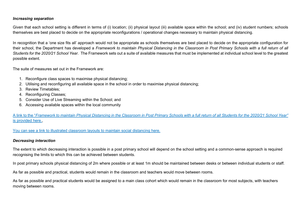### *Increasing separation*

Given that each school setting is different in terms of (i) location; (ii) physical layout (iii) available space within the school; and (iv) student numbers; schools themselves are best placed to decide on the appropriate reconfigurations / operational changes necessary to maintain physical distancing.

In recognition that a 'one size fits all' approach would not be appropriate as schools themselves are best placed to decide on the appropriate configuration for their school, the Department has developed a *Framework to maintain Physical Distancing in the Classroom in Post Primary Schools with a full return of all Students for the 2020/21 School Year.* The Framework sets out a suite of available measures that must be implemented at individual school level to the greatest possible extent.

The suite of measures set out in the Framework are:

- 1. Reconfigure class spaces to maximise physical distancing;
- 2. Utilising and reconfiguring all available space in the school in order to maximise physical distancing;
- 3. Review Timetables;
- 4. Reconfiguring Classes;
- 5. Consider Use of Live Streaming within the School; and
- 6. Accessing available spaces within the local community

A link to the "*[Framework to maintain Physical Distancing in the Classroom in Post Primary Schools with a full return of all Students for the](https://s3-eu-west-1.amazonaws.com/govieassets/81944/9e07fb09-c87d-4db3-a269-814b5117805b.docx) 2020/21 School Year"* is provided here.

[You can see a link to illustrated classroom layouts to maintain social distancing here.](https://s3-eu-west-1.amazonaws.com/govieassets/81947/e89b3523-78ee-45cb-ae14-c13d143b889b.pdf)

### *Decreasing interaction*

The extent to which decreasing interaction is possible in a post primary school will depend on the school setting and a common-sense approach is required recognising the limits to which this can be achieved between students.

In post primary schools physical distancing of 2m where possible or at least 1m should be maintained between desks or between individual students or staff.

As far as possible and practical, students would remain in the classroom and teachers would move between rooms.

As far as possible and practical students would be assigned to a main class cohort which would remain in the classroom for most subjects, with teachers moving between rooms.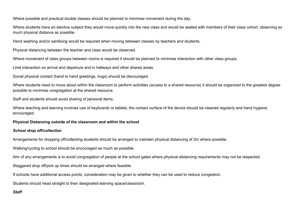Where possible and practical double classes should be planned to minimise movement during the day.

Where students have an elective subject they would move quickly into the new class and would be seated with members of their class cohort, observing as much physical distance as possible.

Hand washing and/or sanitising would be required when moving between classes by teachers and students.

Physical distancing between the teacher and class would be observed.

Where movement of class groups between rooms is required it should be planned to minimise interaction with other class groups.

Limit interaction on arrival and departure and in hallways and other shared areas.

Social physical contact (hand to hand greetings, hugs) should be discouraged.

Where students need to move about within the classroom to perform activities (access to a shared resource) it should be organized to the greatest degree possible to minimise congregation at the shared resource.

Staff and students should avoid sharing of personal items.

Where teaching and learning involves use of keyboards or tablets, the contact surface of the device should be cleaned regularly and hand hygiene encouraged.

#### **Physical Distancing outside of the classroom and within the school**

#### *School drop off/collection*

Arrangements for dropping off/collecting students should be arranged to maintain physical distancing of 2m where possible.

Walking/cycling to school should be encouraged as much as possible.

Aim of any arrangements is to avoid congregation of people at the school gates where physical distancing requirements may not be respected.

Staggered drop off/pick up times should be arranged where feasible.

If schools have additional access points, consideration may be given to whether they can be used to reduce congestion.

Students should head straight to their designated learning space/classroom.

### *Staff*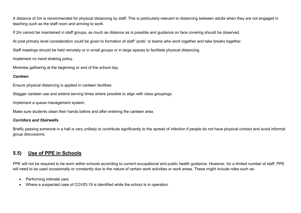A distance of 2m is recommended for physical distancing by staff. This is particularly relevant to distancing between adults when they are not engaged in teaching such as the staff room and arriving to work.

If 2m cannot be maintained in staff groups, as much as distance as is possible and guidance on face covering should be observed.

At post primary level consideration could be given to formation of staff "pods" or teams who work together and take breaks together.

Staff meetings should be held remotely or in small groups or in large spaces to facilitate physical distancing.

Implement no hand shaking policy.

Minimise gathering at the beginning or end of the school day.

### *Canteen*

Ensure physical distancing is applied in canteen facilities

Stagger canteen use and extend serving times where possible to align with class groupings.

Implement a queue management system.

Make sure students clean their hands before and after entering the canteen area.

### *Corridors and Stairwells*

Briefly passing someone in a hall is very unlikely to contribute significantly to the spread of infection if people do not have physical contact and avoid informal group discussions.

# **5.5) Use of PPE in Schools**

PPE will not be required to be worn within schools according to current occupational and public health guidance. However, for a limited number of staff, PPE will need to be used occasionally or constantly due to the nature of certain work activities or work areas. These might include roles such as:

- Performing intimate care
- Where a suspected case of COVID-19 is identified while the school is in operation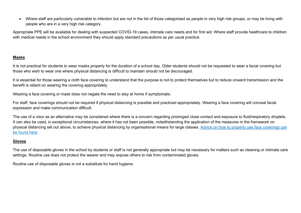• Where staff are particularly vulnerable to infection but are not in the list of those categorised as people in very high risk groups, or may be living with people who are in a very high risk category.

Appropriate PPE will be available for dealing with suspected COVID-19 cases, intimate care needs and for first aid. Where staff provide healthcare to children with medical needs in the school environment they should apply standard precautions as per usual practice.

### **Masks**

It is not practical for students to wear masks properly for the duration of a school day. Older students should not be requested to wear a facial covering but those who wish to wear one where physical distancing is difficult to maintain should not be discouraged.

It is essential for those wearing a cloth face covering to understand that the purpose is not to protect themselves but to reduce onward transmission and the benefit is reliant on wearing the covering appropriately.

Wearing a face covering or mask does not negate the need to stay at home if symptomatic.

For staff, face coverings should not be required if physical distancing is possible and practiced appropriately. Wearing a face covering will conceal facial expression and make communication difficult.

The use of a visor as an alternative may be considered where there is a concern regarding prolonged close contact and exposure to fluid/respiratory droplets. It can also be used, in exceptional circumstances, where it has not been possible, notwithstanding the application of the measures in the framework on physical distancing set out above, to achieve physical distancing by organisational means for large classes. [Advice on how to properly use face coverings can](https://www.gov.ie/facemasks)  [be found here.](https://www.gov.ie/facemasks)

### **Gloves**

The use of disposable gloves in the school by students or staff is not generally appropriate but may be necessary for matters such as cleaning or intimate care settings. Routine use does not protect the wearer and may expose others to risk from contaminated gloves.

Routine use of disposable gloves is not a substitute for hand hygiene.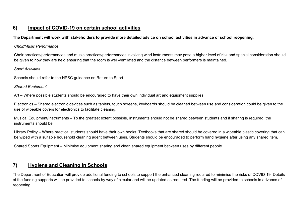## **6) Impact of COVID-19 on certain school activities**

### **The Department will work with stakeholders to provide more detailed advice on school activities in advance of school reopening.**

### *Choir/Music Performance*

Choir practices/performances and music practices/performances involving wind instruments may pose a higher level of risk and special consideration should be given to how they are held ensuring that the room is well-ventilated and the distance between performers is maintained.

### *Sport Activities*

Schools should refer to the HPSC guidance on Return to Sport.

### *Shared Equipment*

Art – Where possible students should be encouraged to have their own individual art and equipment supplies.

Electronics – Shared electronic devices such as tablets, touch screens, keyboards should be cleaned between use and consideration could be given to the use of wipeable covers for electronics to facilitate cleaning.

Musical Equipment/Instruments – To the greatest extent possible, instruments should not be shared between students and if sharing is required, the instruments should be

Library Policy – Where practical students should have their own books. Textbooks that are shared should be covered in a wipeable plastic covering that can be wiped with a suitable household cleaning agent between uses. Students should be encouraged to perform hand hygiene after using any shared item.

Shared Sports Equipment – Minimise equipment sharing and clean shared equipment between uses by different people.

## **7) Hygiene and Cleaning in Schools**

The Department of Education will provide additional funding to schools to support the enhanced cleaning required to minimise the risks of COVID-19. Details of the funding supports will be provided to schools by way of circular and will be updated as required. The funding will be provided to schools in advance of reopening.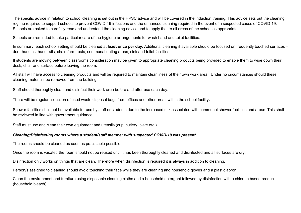The specific advice in relation to school cleaning is set out in the HPSC advice and will be covered in the induction training. This advice sets out the cleaning regime required to support schools to prevent COVID-19 infections and the enhanced cleaning required in the event of a suspected cases of COVID-19. Schools are asked to carefully read and understand the cleaning advice and to apply that to all areas of the school as appropriate.

Schools are reminded to take particular care of the hygiene arrangements for wash hand and toilet facilities.

In summary, each school setting should be cleaned at **least once per day**. Additional cleaning if available should be focused on frequently touched surfaces – door handles, hand rails, chairs/arm rests, communal eating areas, sink and toilet facilities.

If students are moving between classrooms consideration may be given to appropriate cleaning products being provided to enable them to wipe down their desk, chair and surface before leaving the room.

All staff will have access to cleaning products and will be required to maintain cleanliness of their own work area. Under no circumstances should these cleaning materials be removed from the building.

Staff should thoroughly clean and disinfect their work area before and after use each day.

There will be regular collection of used waste disposal bags from offices and other areas within the school facility**.** 

Shower facilities shall not be available for use by staff or students due to the increased risk associated with communal shower facilities and areas. This shall be reviewed in line with government guidance.

Staff must use and clean their own equipment and utensils (cup, cutlery, plate etc.).

### *Cleaning/Disinfecting rooms where a student/staff member with suspected COVID-19 was present*

The rooms should be cleaned as soon as practicable possible.

Once the room is vacated the room should not be reused until it has been thoroughly cleaned and disinfected and all surfaces are dry.

Disinfection only works on things that are clean. Therefore when disinfection is required it is always in addition to cleaning.

Person/s assigned to cleaning should avoid touching their face while they are cleaning and household gloves and a plastic apron.

Clean the environment and furniture using disposable cleaning cloths and a household detergent followed by disinfection with a chlorine based product (household bleach).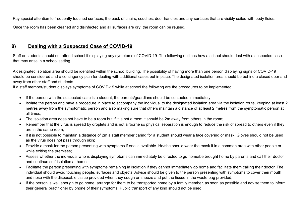Pay special attention to frequently touched surfaces, the back of chairs, couches, door handles and any surfaces that are visibly soiled with body fluids.

Once the room has been cleaned and disinfected and all surfaces are dry, the room can be reused.

# **8) Dealing with a Suspected Case of COVID-19**

Staff or students should not attend school if displaying any symptoms of COVID-19. The following outlines how a school should deal with a suspected case that may arise in a school setting.

A designated isolation area should be identified within the school building. The possibility of having more than one person displaying signs of COVID-19 should be considered and a contingency plan for dealing with additional cases put in place. The designated isolation area should be behind a closed door and away from other staff and students.

If a staff member/student displays symptoms of COVID-19 while at school the following are the procedures to be implemented:

- If the person with the suspected case is a student, the parents/guardians should be contacted immediately;
- Isolate the person and have a procedure in place to accompany the individual to the designated isolation area via the isolation route, keeping at least 2 metres away from the symptomatic person and also making sure that others maintain a distance of at least 2 metres from the symptomatic person at all times;
- The isolation area does not have to be a room but if it is not a room it should be 2m away from others in the room;
- Remember that the virus is spread by droplets and is not airborne so physical separation is enough to reduce the risk of spread to others even if they are in the same room;
- If it is not possible to maintain a distance of 2m a staff member caring for a student should wear a face covering or mask. Gloves should not be used as the virus does not pass through skin;
- Provide a mask for the person presenting with symptoms if one is available. He/she should wear the mask if in a common area with other people or while exiting the premises;
- Assess whether the individual who is displaying symptoms can immediately be directed to go home/be brought home by parents and call their doctor and continue self-isolation at home;
- Facilitate the person presenting with symptoms remaining in isolation if they cannot immediately go home and facilitate them calling their doctor. The individual should avoid touching people, surfaces and objects. Advice should be given to the person presenting with symptoms to cover their mouth and nose with the disposable tissue provided when they cough or sneeze and put the tissue in the waste bag provided;
- If the person is well enough to go home, arrange for them to be transported home by a family member, as soon as possible and advise them to inform their general practitioner by phone of their symptoms. Public transport of any kind should not be used;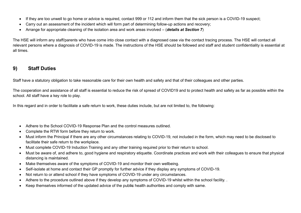- If they are too unwell to go home or advice is required, contact 999 or 112 and inform them that the sick person is a COVID-19 suspect;
- Carry out an assessment of the incident which will form part of determining follow-up actions and recovery;
- Arrange for appropriate cleaning of the isolation area and work areas involved (*details at Section 7*)

The HSE will inform any staff/parents who have come into close contact with a diagnosed case via the contact tracing process. The HSE will contact all relevant persons where a diagnosis of COVID-19 is made. The instructions of the HSE should be followed and staff and student confidentiality is essential at all times.

## **9) Staff Duties**

Staff have a statutory obligation to take reasonable care for their own health and safety and that of their colleagues and other parties.

The cooperation and assistance of all staff is essential to reduce the risk of spread of COVID19 and to protect health and safety as far as possible within the school. All staff have a key role to play.

In this regard and in order to facilitate a safe return to work, these duties include, but are not limited to, the following:

- Adhere to the School COVID-19 Response Plan and the control measures outlined.
- Complete the RTW form before they return to work.
- Must inform the Principal if there are any other circumstances relating to COVID-19, not included in the form, which may need to be disclosed to facilitate their safe return to the workplace.
- Must complete COVID-19 Induction Training and any other training required prior to their return to school.
- Must be aware of, and adhere to, good hygiene and respiratory etiquette. Coordinate practices and work with their colleagues to ensure that physical distancing is maintained.
- Make themselves aware of the symptoms of COVID-19 and monitor their own wellbeing.
- Self-isolate at home and contact their GP promptly for further advice if they display any symptoms of COVID-19.
- Not return to or attend school if they have symptoms of COVID-19 under any circumstances.
- Adhere to the procedure outlined above if they develop any symptoms of COVID-19 whilst within the school facility. .
- Keep themselves informed of the updated advice of the publ**ic** health authorities and comply with same.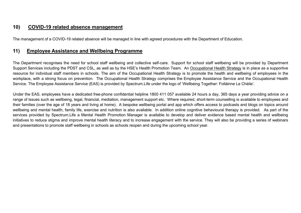## **10) COVID-19 related absence management**

The management of a COVID-19 related absence will be managed in line with agreed procedures with the Department of Education.

## **11) Employee Assistance and Wellbeing Programme**

The Department recognises the need for school staff wellbeing and collective self-care. Support for school staff wellbeing will be provided by Department Support Services including the PDST and CSL, as well as by the HSE's Health Promotion Team. An [Occupational Health Strategy](https://www.education.ie/en/Education-Staff/Information/Occupational-Health-Strategy/) is in place as a supportive resource for individual staff members in schools. The aim of the Occupational Health Strategy is to promote the health and wellbeing of employees in the workplace, with a strong focus on prevention. The Occupational Health Strategy comprises the Employee Assistance Service and the Occupational Health Service. The Employee Assistance Service (EAS) is provided by Spectrum.Life under the logo of 'Wellbeing Together: Folláinne Le Chéile'.

Under the EAS, employees have a dedicated free-phone confidential helpline 1800 411 057 available 24 hours a day, 365 days a year providing advice on a range of issues such as wellbeing, legal, financial, mediation, management support etc. Where required, short-term counselling is available to employees and their families (over the age of 18 years and living at home). A bespoke wellbeing portal and app which offers access to podcasts and blogs on topics around wellbeing and mental health, family life, exercise and nutrition is also available. In addition online cognitive behavioural therapy is provided. As part of the services provided by Spectrum.Life a Mental Health Promotion Manager is available to develop and deliver evidence based mental health and wellbeing initiatives to reduce stigma and improve mental health literacy and to increase engagement with the service. They will also be providing a series of webinars and presentations to promote staff wellbeing in schools as schools reopen and during the upcoming school year.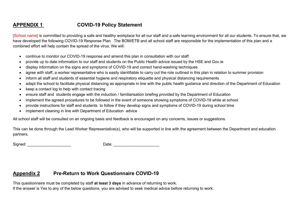# **APPENDIX 1 COVID-19 Policy Statement**

[School name] is committed to providing a safe and healthy workplace for all our staff and a safe learning environment for all our students. To ensure that, we have developed the following COVID-19 Response Plan. The BOM/ETB and all school staff are responsible for the implementation of this plan and a combined effort will help contain the spread of the virus. We will:

- continue to monitor our COVID-19 response and amend this plan in consultation with our staff
- provide up to date information to our staff and students on the Public Health advice issued by the HSE and Gov.ie
- display information on the signs and symptoms of COVID-19 and correct hand-washing techniques
- agree with staff, a worker representative who is easily identifiable to carry out the role outlined in this plan in relation to summer provision
- inform all staff and students of essential hygiene and respiratory etiquette and physical distancing requirements
- adapt the school to facilitate physical distancing as appropriate in line with the public health guidance and direction of the Department of Education
- keep a contact log to help with contact tracing
- ensure staff and students engage with the induction / familiarisation briefing provided by the Department of Education
- implement the agreed procedures to be followed in the event of someone showing symptoms of COVID-19 while at school
- provide instructions for staff and students to follow if they develop signs and symptoms of COVID-19 during school time
- implement cleaning in line with Department of Education advice

All school staff will be consulted on an ongoing basis and feedback is encouraged on any concerns, issues or suggestions.

This can be done through the Lead Worker Representative(s), who will be supported in line with the agreement between the Department and education partners.

Signed: \_\_\_\_\_\_\_\_\_\_\_\_\_\_\_\_\_\_\_\_ Date: \_\_\_\_\_\_\_\_\_\_\_\_\_\_\_\_\_\_\_\_\_

# **Appendix 2 Pre-Return to Work Questionnaire COVID-19**

This questionnaire must be completed by staff **at least 3 days** in advance of returning to work.

If the answer is Yes to any of the below questions, you are advised to seek medical advice before returning to work.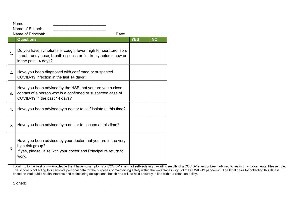Name: \_\_\_\_\_\_\_\_\_\_\_\_\_\_\_\_\_\_\_\_\_\_\_\_

Name of School:

Name of Principal: example of the Principal: the Contract of Principal: example of  $\Box$ **Questions YES NO** 1. Do you have symptoms of cough, fever, high temperature, sore throat, runny nose, breathlessness or flu like symptoms now or in the past 14 days? 2. Have you been diagnosed with confirmed or suspected COVID-19 infection in the last 14 days? 3. Have you been advised by the HSE that you are you a close contact of a person who is a confirmed or suspected case of COVID-19 in the past 14 days? 4. Have you been advised by a doctor to self-isolate at this time? 5. Have you been advised by a doctor to cocoon at this time? 6. Have you been advised by your doctor that you are in the very high risk group? If yes, please liaise with your doctor and Principal re return to work.

I confirm, to the best of my knowledge that I have no symptoms of COVID-19, am not self-isolating, awaiting results of a COVID-19 test or been advised to restrict my movements. Please note: The school is collecting this sensitive personal data for the purposes of maintaining safety within the workplace in light of the COVID-19 pandemic. The legal basis for collecting this data is based on vital public health interests and maintaining occupational health and will be held securely in line with our retention policy.

Signed: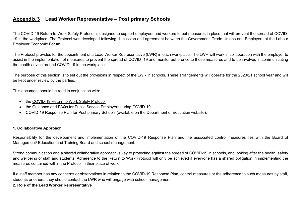## **Appendix 3 Lead Worker Representative – Post primary Schools**

The COVID-19 Return to Work Safely Protocol is designed to support employers and workers to put measures in place that will prevent the spread of COVID-19 in the workplace. The Protocol was developed following discussion and agreement between the Government, Trade Unions and Employers at the Labour Employer Economic Forum.

The Protocol provides for the appointment of a Lead Worker Representative (LWR) in each workplace. The LWR will work in collaboration with the employer to assist in the implementation of measures to prevent the spread of COVID -19 and monitor adherence to those measures and to be involved in communicating the health advice around COVID-19 in the workplace.

The purpose of this section is to set out the provisions in respect of the LWR in schools. These arrangements will operate for the 2020/21 school year and will be kept under review by the parties.

This document should be read in conjunction with:

- the COVID-19 [Return to Work Safely Protocol;](https://www.gov.ie/en/publication/22829a-return-to-work-safely-protocol/)
- the [Guidance and FAQs for Public Service Employers during COVID-19;](https://www.gov.ie/en/news/092fff-update-on-working-arrangements-and-leave-associated-with-covid-19-fo/)
- COVID-19 Response Plan for Post primary Schools (available on the Department of Education website).

### **1. Collaborative Approach**

Responsibility for the development and implementation of the COVID-19 Response Plan and the associated control measures lies with the Board of Management/ Education and Training Board and school management.

Strong communication and a shared collaborative approach is key to protecting against the spread of COVID-19 in schools, and looking after the health, safety and wellbeing of staff and students. Adherence to the Return to Work Protocol will only be achieved if everyone has a shared obligation in implementing the measures contained within the Protocol in their place of work.

If a staff member has any concerns or observations in relation to the COVID-19 Response Plan, control measures or the adherence to such measures by staff, students or others, they should contact the LWR who will engage with school management.

#### **2. Role of the Lead Worker Representative**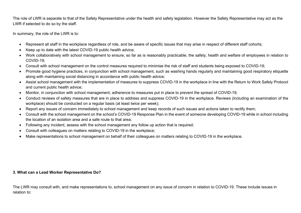The role of LWR is separate to that of the Safety Representative under the health and safety legislation. However the Safety Representative may act as the LWR if selected to do so by the staff.

In summary, the role of the LWR is to:

- Represent all staff in the workplace regardless of role, and be aware of specific issues that may arise in respect of different staff cohorts;
- Keep up to date with the latest COVID-19 public health advice;
- Work collaboratively with school management to ensure, so far as is reasonably practicable, the safety, health and welfare of employees in relation to COVID-19;
- Consult with school management on the control measures required to minimise the risk of staff and students being exposed to COVID-19;
- Promote good hygiene practices, in conjunction with school management, such as washing hands regularly and maintaining good respiratory etiquette along with maintaining social distancing in accordance with public health advice;
- Assist school management with the implementation of measures to suppress COVID-19 in the workplace in line with the Return to Work Safely Protocol and current public health advice;
- Monitor, in conjunction with school management, adherence to measures put in place to prevent the spread of COVID-19;
- Conduct reviews of safety measures that are in place to address and suppress COVID-19 in the workplace. Reviews (including an examination of the workplace) should be conducted on a regular basis (at least twice per week);
- Report any issues of concern immediately to school management and keep records of such issues and actions taken to rectify them;
- Consult with the school management on the school's COVID-19 Response Plan in the event of someone developing COVID-19 while in school including the location of an isolation area and a safe route to that area;
- Following any incident, assess with the school management any follow up action that is required;
- Consult with colleagues on matters relating to COVID-19 in the workplace;
- Make representations to school management on behalf of their colleagues on matters relating to COVID-19 in the workplace.

### **3. What can a Lead Worker Representative Do?**

The LWR may consult with, and make representations to, school management on any issue of concern in relation to COVID-19. These include issues in relation to: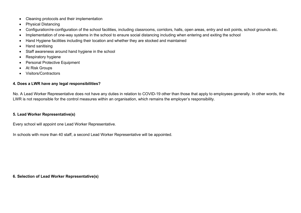- Cleaning protocols and their implementation
- Physical Distancing
- Configuration/re-configuration of the school facilities, including classrooms, corridors, halls, open areas, entry and exit points, school grounds etc.
- Implementation of one-way systems in the school to ensure social distancing including when entering and exiting the school
- Hand Hygiene facilities including their location and whether they are stocked and maintained
- Hand sanitising
- Staff awareness around hand hygiene in the school
- Respiratory hygiene
- Personal Protective Equipment
- At Risk Groups
- Visitors/Contractors

### **4. Does a LWR have any legal responsibilities?**

No. A Lead Worker Representative does not have any duties in relation to COVID-19 other than those that apply to employees generally. In other words, the LWR is not responsible for the control measures within an organisation, which remains the employer's responsibility.

### **5. Lead Worker Representative(s)**

Every school will appoint one Lead Worker Representative.

In schools with more than 40 staff, a second Lead Worker Representative will be appointed.

**6. Selection of Lead Worker Representative(s)**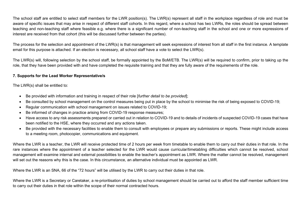The school staff are entitled to select staff members for the LWR position(s). The LWR(s) represent all staff in the workplace regardless of role and must be aware of specific issues that may arise in respect of different staff cohorts. In this regard, where a school has two LWRs, the roles should be spread between teaching and non-teaching staff where feasible e.g. where there is a significant number of non-teaching staff in the school and one or more expressions of interest are received from that cohort (this will be discussed further between the parties).

The process for the selection and appointment of the LWR(s) is that management will seek expressions of interest from all staff in the first instance. A template email for this purpose is attached. If an election is necessary, all school staff have a vote to select the LWR(s).

The LWR(s) will, following selection by the school staff, be formally appointed by the BoM/ETB. The LWR(s) will be required to confirm, prior to taking up the role, that they have been provided with and have completed the requisite training and that they are fully aware of the requirements of the role.

#### **7. Supports for the Lead Worker Representative/s**

The LWR(s) shall be entitled to:

- Be provided with information and training in respect of their role [*further detail to be provided*];
- Be consulted by school management on the control measures being put in place by the school to minimise the risk of being exposed to COVID-19;
- Regular communication with school management on issues related to COVID-19;
- Be informed of changes in practice arising from COVID-19 response measures;
- Have access to any risk assessments prepared or carried out in relation to COVID-19 and to details of incidents of suspected COVID-19 cases that have been notified to the HSE, where they occurred and any actions taken.
- Be provided with the necessary facilities to enable them to consult with employees or prepare any submissions or reports. These might include access to a meeting room, photocopier, communications and equipment.

Where the LWR is a teacher, the LWR will receive protected time of 2 hours per week from timetable to enable them to carry out their duties in that role. In the rare instances where the appointment of a teacher selected for the LWR would cause curricular/timetabling difficulties which cannot be resolved, school management will examine internal and external possibilities to enable the teacher's appointment as LWR. Where the matter cannot be resolved, management will set out the reasons why this is the case. In this circumstance, an alternative individual must be appointed as LWR.

Where the LWR is an SNA, 66 of the "72 hours" will be utilised by the LWR to carry out their duties in that role.

Where the LWR is a Secretary or Caretaker, a re-prioritisation of duties by school management should be carried out to afford the staff member sufficient time to carry out their duties in that role within the scope of their normal contracted hours.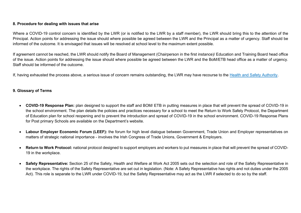### **8. Procedure for dealing with issues that arise**

Where a COVID-19 control concern is identified by the LWR (or is notified to the LWR by a staff member), the LWR should bring this to the attention of the Principal. Action points for addressing the issue should where possible be agreed between the LWR and the Principal as a matter of urgency. Staff should be informed of the outcome. It is envisaged that issues will be resolved at school level to the maximum extent possible.

If agreement cannot be reached, the LWR should notify the Board of Management (Chairperson in the first instance)/ Education and Training Board head office of the issue. Action points for addressing the issue should where possible be agreed between the LWR and the BoM/ETB head office as a matter of urgency. Staff should be informed of the outcome.

If, having exhausted the process above, a serious issue of concern remains outstanding, the LWR may have recourse to the [Health and Safety Authority.](https://www.hsa.ie/)

### **9. Glossary of Terms**

- **COVID-19 Response Plan:** plan designed to support the staff and BOM/ ETB in putting measures in place that will prevent the spread of COVID-19 in the school environment. The plan details the policies and practices necessary for a school to meet the Return to Work Safely Protocol, the Department of Education plan for school reopening and to prevent the introduction and spread of COVID-19 in the school environment. COVID-19 Response Plans for Post primary Schools are available on the Department's website.
- **Labour Employer Economic Forum (LEEF):** the forum for high level dialogue between Government, Trade Union and Employer representatives on matters of strategic national importance - involves the Irish Congress of Trade Unions, Government & Employers.
- **Return to Work Protocol:** national protocol designed to support employers and workers to put measures in place that will prevent the spread of COVID-19 in the workplace.
- **Safety Representative:** Section 25 of the Safety, Health and Welfare at Work Act 2005 sets out the selection and role of the Safety Representative in the workplace. The rights of the Safety Representative are set out in legislation. (Note: A Safety Representative has rights and not duties under the 2005 Act). This role is separate to the LWR under COVID-19, but the Safety Representative may act as the LWR if selected to do so by the staff.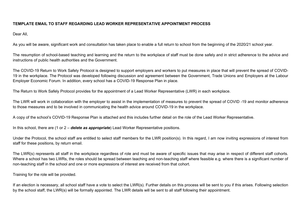### **TEMPLATE EMAIL TO STAFF REGARDING LEAD WORKER REPRESENTATIVE APPOINTMENT PROCESS**

Dear All,

As you will be aware, significant work and consultation has taken place to enable a full return to school from the beginning of the 2020/21 school year.

The resumption of school-based teaching and learning and the return to the workplace of staff must be done safely and in strict adherence to the advice and instructions of public health authorities and the Government.

The COVID-19 Return to Work Safely Protocol is designed to support employers and workers to put measures in place that will prevent the spread of COVID-19 in the workplace. The Protocol was developed following discussion and agreement between the Government, Trade Unions and Employers at the Labour Employer Economic Forum. In addition, every school has a COVID-19 Response Plan in place.

The Return to Work Safely Protocol provides for the appointment of a Lead Worker Representative (LWR) in each workplace.

The LWR will work in collaboration with the employer to assist in the implementation of measures to prevent the spread of COVID -19 and monitor adherence to those measures and to be involved in communicating the health advice around COVID-19 in the workplace.

A copy of the school's COVID-19 Response Plan is attached and this includes further detail on the role of the Lead Worker Representative.

In this school, there are (1 or 2 – *delete as appropriate*) Lead Worker Representative positions.

Under the Protocol, the school staff are entitled to select staff members for the LWR position(s). In this regard, I am now inviting expressions of interest from staff for these positions, by return email.

The LWR(s) represents all staff in the workplace regardless of role and must be aware of specific issues that may arise in respect of different staff cohorts. Where a school has two LWRs, the roles should be spread between teaching and non-teaching staff where feasible e.g. where there is a significant number of non-teaching staff in the school and one or more expressions of interest are received from that cohort.

Training for the role will be provided.

If an election is necessary, all school staff have a vote to select the LWR(s). Further details on this process will be sent to you if this arises. Following selection by the school staff, the LWR(s) will be formally appointed. The LWR details will be sent to all staff following their appointment.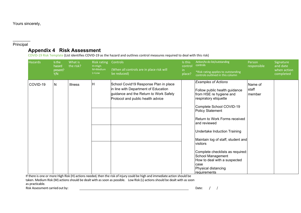Yours sincerely,

#### \_\_\_\_\_\_\_\_ Principal

## **Appendix 4 Risk Assessment**

COVID-19 Risk Template (List identifies COVID-19 as the hazard and outlines control measures required to deal with this risk)

| <b>Hazards</b> | Is the<br>hazard<br>present?<br>Y/N | What is<br>the risk? | Risk rating<br>$H=High$<br>M=Medium<br>L=Low | Controls<br>(When all controls are in place risk will<br>be reduced)                                                                                         | Is this<br>control<br>in<br>place? | Action/to do list/outstanding<br>controls<br>*Risk rating applies to outstanding<br>controls outlined in this column                                                                                                                                                                                                                                                                                                                                | Person<br>responsible      | Signature<br>and date<br>when action<br>completed |
|----------------|-------------------------------------|----------------------|----------------------------------------------|--------------------------------------------------------------------------------------------------------------------------------------------------------------|------------------------------------|-----------------------------------------------------------------------------------------------------------------------------------------------------------------------------------------------------------------------------------------------------------------------------------------------------------------------------------------------------------------------------------------------------------------------------------------------------|----------------------------|---------------------------------------------------|
| COVID-19       | N                                   | <b>Illness</b>       | Н                                            | School Covid19 Response Plan in place<br>in line with Department of Education<br>guidance and the Return to Work Safely<br>Protocol and public health advice |                                    | <b>Examples of Actions</b><br>Follow public health guidance<br>from HSE re hygiene and<br>respiratory etiquette<br>Complete School COVID-19<br>Policy Statement<br>Return to Work Forms received<br>land reviewed<br><b>Undertake Induction Training</b><br>Maintain log of staff, student and<br>visitors<br>Complete checklists as required:<br>School Management<br>How to deal with a suspected<br>case<br>Physical distancing<br>Ireauirements | Name of<br>staff<br>member |                                                   |

If there is one or more High Risk (H) actions needed, then the risk of injury could be high and immediate action should be taken. Medium Risk (M) actions should be dealt with as soon as possible. Low Risk (L) actions should be dealt with as soon as practicable.

Risk Assessment carried out by:  $\qquad \qquad \qquad$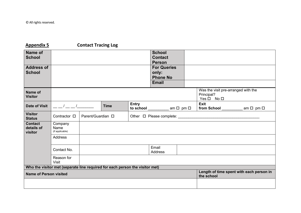# **Appendix 5 Contact Tracing Log**

| Name of<br><b>School</b>                |                                                                              |                   |             |              | <b>School</b><br><b>Contact</b><br><b>Person</b> |            |                                                                         |  |
|-----------------------------------------|------------------------------------------------------------------------------|-------------------|-------------|--------------|--------------------------------------------------|------------|-------------------------------------------------------------------------|--|
| <b>Address of</b><br><b>School</b>      |                                                                              |                   |             |              | <b>For Queries</b><br>only:<br><b>Phone No</b>   |            |                                                                         |  |
|                                         |                                                                              |                   |             |              | <b>Email</b>                                     |            |                                                                         |  |
| Name of<br><b>Visitor</b>               |                                                                              |                   |             |              |                                                  |            | Was the visit pre-arranged with the<br>Principal?<br>$Yes \Box No \Box$ |  |
| <b>Date of Visit</b>                    |                                                                              |                   | <b>Time</b> | <b>Entry</b> | to school $\_\_\_\_\$ am $\Box$ pm $\Box$        |            | Exit<br>from School $\_\_\_\_\$ am $\Box$ pm $\Box$                     |  |
| <b>Visitor</b><br><b>Status</b>         | Contractor □                                                                 | Parent/Guardian □ |             |              |                                                  |            |                                                                         |  |
| <b>Contact</b><br>details of<br>visitor | Company<br>Name<br>(if applicable)                                           |                   |             |              |                                                  |            |                                                                         |  |
|                                         | <b>Address</b>                                                               |                   |             |              |                                                  |            |                                                                         |  |
|                                         | Contact No.                                                                  |                   |             |              | Email<br><b>Address</b>                          |            |                                                                         |  |
|                                         | Reason for<br><b>Visit</b>                                                   |                   |             |              |                                                  |            |                                                                         |  |
|                                         | Who the visitor met (separate line required for each person the visitor met) |                   |             |              |                                                  |            |                                                                         |  |
| <b>Name of Person visited</b>           |                                                                              |                   |             |              |                                                  | the school | Length of time spent with each person in                                |  |
|                                         |                                                                              |                   |             |              |                                                  |            |                                                                         |  |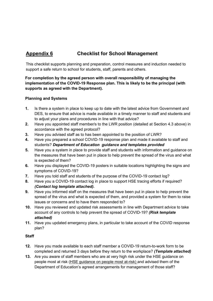# **Appendix 6 Checklist for School Management**

This checklist supports planning and preparation, control measures and induction needed to support a safe return to school for students, staff, parents and others.

**For completion by the agreed person with overall responsibility of managing the implementation of the COVID-19 Response plan. This is likely to be the principal (with supports as agreed with the Department).** 

### **Planning and Systems**

- **1.** Is there a system in place to keep up to date with the latest advice from Government and DES, to ensure that advice is made available in a timely manner to staff and students and to adjust your plans and procedures in line with that advice?
- **2.** Have you appointed staff member/s to the LWR position (detailed at Section 4.3 above) in accordance with the agreed protocol?
- **3.** Have you advised staff as to has been appointed to the position of LWR?
- **4.** Have you prepared a school COVID-19 response plan and made it available to staff and students? *Department of Education guidance and templates provided*
- **5.** Have you a system in place to provide staff and students with information and guidance on the measures that have been put in place to help prevent the spread of the virus and what is expected of them?
- **6.** Have you displayed the COVID-19 posters in suitable locations highlighting the signs and symptoms of COVID-19?
- **7.** Have you told staff and students of the purpose of the COVID-19 contact log?
- **8.** Have you a COVID-19 contact log in place to support HSE tracing efforts if required? *(Contact log template attached).*
- **9.** Have you informed staff on the measures that have been put in place to help prevent the spread of the virus and what is expected of them, and provided a system for them to raise issues or concerns and to have them responded to?
- **10.** Have you reviewed and updated risk assessments in line with Department advice to take account of any controls to help prevent the spread of COVID-19? *(Risk template attached)*
- **11.** Have you updated emergency plans, in particular to take account of the COVID response plan?

### **Staff**

- **12.** Have you made available to each staff member a COVID-19 return-to-work form to be completed and returned 3 days before they return to the workplace? *(Template attached)*
- **13.** Are you aware of staff members who are at very high risk under the HSE guidance on people most at risk [\(HSE guidance on people most at-risk\)](https://www2.hse.ie/conditions/coronavirus/people-at-higher-risk.html) and advised them of the Department of Education's agreed arrangements for management of those staff?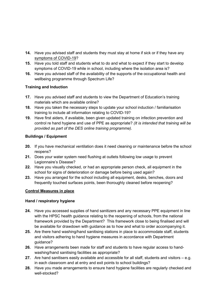- **14.** Have you advised staff and students they must stay at home if sick or if they have any [symptoms of COVID-19?](https://www2.hse.ie/conditions/coronavirus/symptoms.html)
- **15.** Have you told staff and students what to do and what to expect if they start to develop symptoms of COVID-19 while in school, including where the isolation area is?
- **16.** Have you advised staff of the availability of the supports of the occupational health and wellbeing programme through Spectrum Life?

### **Training and Induction**

- **17.** Have you advised staff and students to view the Department of Education's training materials which are available online?
- **18.** Have you taken the necessary steps to update your school induction / familiarisation training to include all information relating to COVID-19?
- **19.** Have first aiders, if available, been given updated training on infection prevention and control re hand hygiene and use of PPE as appropriate? *(It is intended that training will be provided as part of the DES online training programme).*

### **Buildings / Equipment**

- **20.** If you have mechanical ventilation does it need cleaning or maintenance before the school reopens?
- **21.** Does your water system need flushing at outlets following low usage to prevent Legionnaire's Disease?
- **22.** Have you visually checked, or had an appropriate person check, all equipment in the school for signs of deterioration or damage before being used again?
- **23.** Have you arranged for the school including all equipment, desks, benches, doors and frequently touched surfaces points, been thoroughly cleaned before reopening?

### **Control Measures in place**

### **Hand / respiratory hygiene**

- **24.** Have you accessed supplies of hand sanitizers and any necessary PPE equipment in line with the HPSC health guidance relating to the reopening of schools, from the national framework provided by the Department? This framework close to being finalised and will be available for drawdown with guidance as to how and what to order accompanying it.
- **25.** Are there hand washing/hand sanitising stations in place to accommodate staff, students and visitors adhering to hand hygiene measures in accordance with Department guidance?
- **26.** Have arrangements been made for staff and students to have regular access to handwashing/hand sanitising facilities as appropriate?
- **27.** Are hand sanitisers easily available and accessible for all staff, students and visitors e.g. in each classroom and at entry and exit points to school buildings?
- **28.** Have you made arrangements to ensure hand hygiene facilities are regularly checked and well-stocked?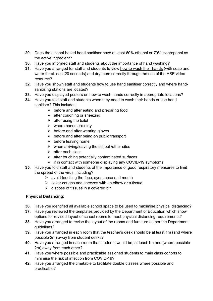- **29.** Does the alcohol-based hand sanitiser have at least 60% ethanol or 70% isopropanol as the active ingredient?
- **30.** Have you informed staff and students about the importance of hand washing?
- **31.** Have you arranged for staff and students to view [how to wash their hands](https://www2.hse.ie/wellbeing/how-to-wash-your-hands.html) (with soap and water for at least 20 seconds) and dry them correctly through the use of the HSE video resource?
- **32.** Have you shown staff and students how to use hand sanitiser correctly and where handsanitising stations are located?
- **33.** Have you displayed posters on how to wash hands correctly in appropriate locations?
- **34.** Have you told staff and students when they need to wash their hands or use hand sanitiser? This includes:
	- $\triangleright$  before and after eating and preparing food
	- $\triangleright$  after coughing or sneezing
	- $\triangleright$  after using the toilet
	- $\triangleright$  where hands are dirty
	- $\triangleright$  before and after wearing gloves
	- $\triangleright$  before and after being on public transport
	- $\triangleright$  before leaving home
	- $\triangleright$  when arriving/leaving the school /other sites
	- $\triangleright$  after each class
	- $\triangleright$  after touching potentially contaminated surfaces
	- $\triangleright$  if in contact with someone displaying any COVID-19 symptoms
- **35.** Have you told staff and students of the importance of good respiratory measures to limit the spread of the virus, including?
	- $\triangleright$  avoid touching the face, eyes, nose and mouth
	- $\triangleright$  cover coughs and sneezes with an elbow or a tissue
	- $\triangleright$  dispose of tissues in a covered bin

### **Physical Distancing:**

- **36.** Have you identified all available school space to be used to maximise physical distancing?
- **37.** Have you reviewed the templates provided by the Department of Education which show options for revised layout of school rooms to meet physical distancing requirements?
- **38.** Have you arranged to revise the layout of the rooms and furniture as per the Department quidelines?
- **39.** Have you arranged in each room that the teacher's desk should be at least 1m (and where possible 2m) away from student desks?
- **40.** Have you arranged in each room that students would be, at least 1m and (where possible 2m) away from each other?
- **41.** Have you where possible and practicable assigned students to main class cohorts to minimise the risk of infection from COVID-19?
- **42.** Have you arranged the timetable to facilitate double classes where possible and practicable?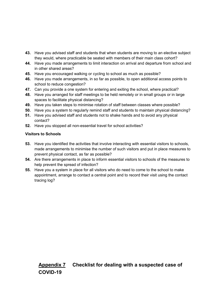- **43.** Have you advised staff and students that when students are moving to an elective subject they would, where practicable be seated with members of their main class cohort?
- **44.** Have you made arrangements to limit interaction on arrival and departure from school and in other shared areas?
- **45.** Have you encouraged walking or cycling to school as much as possible?
- **46.** Have you made arrangements, in so far as possible, to open additional access points to school to reduce congestion?
- **47.** Can you provide a one system for entering and exiting the school, where practical?
- **48.** Have you arranged for staff meetings to be held remotely or in small groups or in large spaces to facilitate physical distancing?
- **49.** Have you taken steps to minimise rotation of staff between classes where possible?
- **50.** Have you a system to regularly remind staff and students to maintain physical distancing?
- **51.** Have you advised staff and students not to shake hands and to avoid any physical contact?
- **52.** Have you stopped all non-essential travel for school activities?

### **Visitors to Schools**

- **53.** Have you identified the activities that involve interacting with essential visitors to schools, made arrangements to minimise the number of such visitors and put in place measures to prevent physical contact, as far as possible?
- **54.** Are there arrangements in place to inform essential visitors to schools of the measures to help prevent the spread of infection?
- **55.** Have you a system in place for all visitors who do need to come to the school to make appointment, arrange to contact a central point and to record their visit using the contact tracing log?

# **Appendix 7 Checklist for dealing with a suspected case of COVID-19**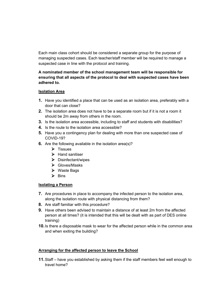Each main class cohort should be considered a separate group for the purpose of managing suspected cases. Each teacher/staff member will be required to manage a suspected case in line with the protocol and training.

### **A nominated member of the school management team will be responsible for ensuring that all aspects of the protocol to deal with suspected cases have been adhered to.**

### **Isolation Area**

- **1.** Have you identified a place that can be used as an isolation area, preferably with a door that can close?
- **2.** The isolation area does not have to be a separate room but if it is not a room it should be 2m away from others in the room.
- **3.** Is the isolation area accessible, including to staff and students with disabilities?
- **4.** Is the route to the isolation area accessible?
- **5.** Have you a contingency plan for dealing with more than one suspected case of COVID-19?
- **6.** Are the following available in the isolation area(s)?
	- $\triangleright$  Tissues
	- $\blacktriangleright$  Hand sanitiser
	- $\triangleright$  Disinfectant/wipes
	- Gloves/Masks
	- $\triangleright$  Waste Bags
	- $\triangleright$  Bins

### **Isolating a Person**

- **7.** Are procedures in place to accompany the infected person to the isolation area, along the isolation route with physical distancing from them?
- **8.** Are staff familiar with this procedure?
- **9.** Have others been advised to maintain a distance of at least 2m from the affected person at all times? (it is intended that this will be dealt with as part of DES online training)
- **10.**Is there a disposable mask to wear for the affected person while in the common area and when exiting the building?

### **Arranging for the affected person to leave the School**

**11.**Staff – have you established by asking them if the staff members feel well enough to travel home?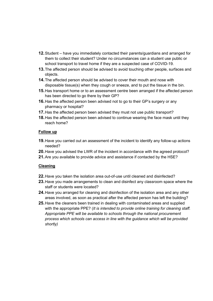- **12.**Student have you immediately contacted their parents/guardians and arranged for them to collect their student? Under no circumstances can a student use public or school transport to travel home if they are a suspected case of COVID-19.
- **13.**The affected person should be advised to avoid touching other people, surfaces and objects.
- **14.**The affected person should be advised to cover their mouth and nose with disposable tissue(s) when they cough or sneeze, and to put the tissue in the bin.
- **15.**Has transport home or to an assessment centre been arranged if the affected person has been directed to go there by their GP?
- **16.**Has the affected person been advised not to go to their GP's surgery or any pharmacy or hospital?
- **17.**Has the affected person been advised they must not use public transport?
- **18.**Has the affected person been advised to continue wearing the face mask until they reach home?

### **Follow up**

- **19.**Have you carried out an assessment of the incident to identify any follow-up actions needed?
- **20.**Have you advised the LWR of the incident in accordance with the agreed protocol?
- **21.**Are you available to provide advice and assistance if contacted by the HSE?

### **Cleaning**

- **22.**Have you taken the isolation area out-of-use until cleaned and disinfected?
- **23.**Have you made arrangements to clean and disinfect any classroom space where the staff or students were located?
- **24.**Have you arranged for cleaning and disinfection of the isolation area and any other areas involved, as soon as practical after the affected person has left the building?
- **25.**Have the cleaners been trained in dealing with contaminated areas and supplied with the appropriate PPE? (*It is intended to provide online training for cleaning staff. Appropriate PPE will be available to schools through the national procurement process which schools can access in line with the guidance which will be provided shortly)*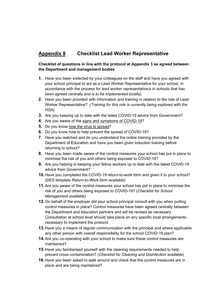# **Appendix 8 Checklist Lead Worker Representative**

### **Checklist of questions in line with the protocol at Appendix 3 as agreed between the Department and management bodies**

- **1.** Have you been s/elected by your colleagues on the staff and have you agreed with your school principal to act as a Lead Worker Representative for your school, in accordance with the process for *lead worker representative/s in schools that has been agreed centrally and is to be implemented locally).*
- **2.** Have you been provided with information and training in relation to the role of Lead Worker Representative? (*Training for this role is currently being explored with the HSA).*
- **3.** Are you keeping up to date with the latest COVID-19 advice from Government?
- **4.** Are you aware of the [signs and symptoms of COVID-19?](https://www2.hse.ie/conditions/coronavirus/symptoms.html)
- **5.** Do you know [how the virus is spread?](https://www2.hse.ie/conditions/coronavirus/how-coronavirus-is-spread.html)
- **6.** Do you know how to help prevent the spread of COVID-19?
- **7.** Have you watched and do you understand the online training provided by the Department of Education and have you been given induction training before returning to school?
- **8.** Have you been made aware of the control measures your school has put in place to minimise the risk of you and others being exposed to COVID-19?
- **9.** Are you helping in keeping your fellow workers up to date with the latest COVID-19 advice from Government?
- **10.**Have you completed the COVID-19 return-to-work form and given it to your school? *(DES template Return-to-Work form available)*
- **11.**Are you aware of the control measures your school has put in place to minimise the risk of you and others being exposed to COVID-19? (*Checklist for School Management available)*
- **12.**On behalf of the employer did your school principal consult with you when putting control measures in place? Control measures have been agreed centrally between the Department and education partners and will be revised as necessary. Consultation at school level should take place on any specific local arrangements necessary to implement the protocol
- **13.**Have you a means of regular communication with the principal and where applicable any other person with overall responsibility for the school COVID-19 plan?
- **14.**Are you co-operating with your school to make sure these control measures are maintained?
- **15.**Have you familiarised yourself with the cleaning requirements needed to help prevent cross contamination? (*Checklist for Cleaning and Disinfection available*)
- **16.**Have you been asked to walk around and check that the control measures are in place and are being maintained?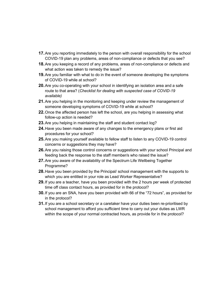- **17.**Are you reporting immediately to the person with overall responsibility for the school COVID-19 plan any problems, areas of non-compliance or defects that you see?
- **18.**Are you keeping a record of any problems, areas of non-compliance or defects and what action was taken to remedy the issue?
- **19.**Are you familiar with what to do in the event of someone developing the symptoms of COVID-19 while at school?
- **20.**Are you co-operating with your school in identifying an isolation area and a safe route to that area? (*Checklist for dealing with suspected case of COVID-19 available)*
- **21.**Are you helping in the monitoring and keeping under review the management of someone developing symptoms of COVID-19 while at school?
- **22.**Once the affected person has left the school, are you helping in assessing what follow-up action is needed?
- **23.**Are you helping in maintaining the staff and student contact log?
- **24.**Have you been made aware of any changes to the emergency plans or first aid procedures for your school?
- **25.**Are you making yourself available to fellow staff to listen to any COVID-19 control concerns or suggestions they may have?
- **26.**Are you raising those control concerns or suggestions with your school Principal and feeding back the response to the staff member/s who raised the issue?
- **27.**Are you aware of the availability of the Spectrum Life Wellbeing Together Programme?
- **28.**Have you been provided by the Principal/ school management with the supports to which you are entitled in your role as Lead Worker Representative?
- **29.**If you are a teacher, have you been provided with the 2 hours per week of protected time off class contact hours, as provided for in the protocol?
- **30.**If you are an SNA, have you been provided with 66 of the "72 hours", as provided for in the protocol?
- **31.**If you are a school secretary or a caretaker have your duties been re-prioritised by school management to afford you sufficient time to carry out your duties as LWR within the scope of your normal contracted hours, as provide for in the protocol?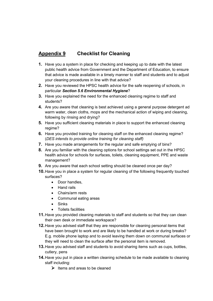# **Appendix 9 Checklist for Cleaning**

- **1.** Have you a system in place for checking and keeping up to date with the latest public health advice from Government and the Department of Education, to ensure that advice is made available in a timely manner to staff and students and to adjust your cleaning procedures in line with that advice?
- **2.** Have you reviewed the HPSC health advice for the safe reopening of schools, in particular *Section 5.6 Environmental Hygiene*?
- **3.** Have you explained the need for the enhanced cleaning regime to staff and students?
- **4.** Are you aware that cleaning is best achieved using a general purpose detergent ad warm water, clean cloths, mops and the mechanical action of wiping and cleaning, following by rinsing and drying?
- **5.** Have you sufficient cleaning materials in place to support the enhanced cleaning regime?
- **6.** Have you provided training for cleaning staff on the enhanced cleaning regime? (*DES intends to provide online training for cleaning staff)*
- **7.** Have you made arrangements for the regular and safe emptying of bins?
- **8.** Are you familiar with the cleaning options for school settings set out in the HPSC health advice for schools for surfaces, toilets, cleaning equipment, PPE and waste management?
- **9.** Are you aware that each school setting should be cleaned once per day?
- **10.**Have you in place a system for regular cleaning of the following frequently touched surfaces?
	- Door handles,
	- Hand rails
	- Chairs/arm rests
	- Communal eating areas
	- Sinks
	- Toilets facilities
- **11.**Have you provided cleaning materials to staff and students so that they can clean their own desk or immediate workspace?
- **12.**Have you advised staff that they are responsible for cleaning personal items that have been brought to work and are likely to be handled at work or during breaks? E.g. mobile phone laptop and to avoid leaving them down on communal surfaces or they will need to clean the surface after the personal item is removed.
- **13.**Have you advised staff and students to avoid sharing items such as cups, bottles, cutlery, pens
- **14.**Have you put in place a written cleaning schedule to be made available to cleaning staff including:
	- $\triangleright$  Items and areas to be cleaned